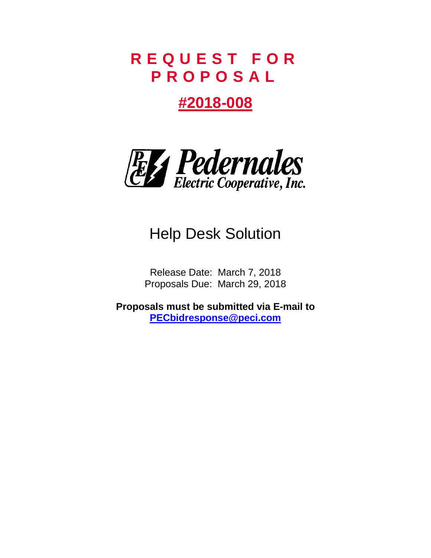# **R E Q U E S T F O R P R O P O S A L**

# **#2018-008**



# Help Desk Solution

Release Date: March 7, 2018 Proposals Due: March 29, 2018

**Proposals must be submitted via E-mail to [PECbidresponse@peci.com](mailto:PECbidresponse@peci.com)**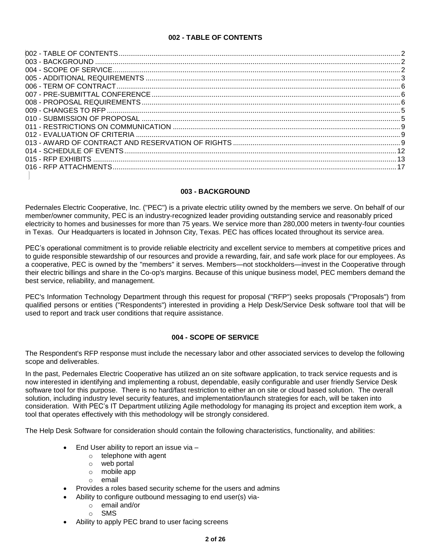## **002 - TABLE OF CONTENTS**

<span id="page-1-0"></span>

## **003 - BACKGROUND**

<span id="page-1-1"></span>Pedernales Electric Cooperative, Inc. ("PEC") is a private electric utility owned by the members we serve. On behalf of our member/owner community, PEC is an industry-recognized leader providing outstanding service and reasonably priced electricity to homes and businesses for more than 75 years. We service more than 280,000 meters in twenty-four counties in Texas. Our Headquarters is located in Johnson City, Texas. PEC has offices located throughout its service area.

PEC's operational commitment is to provide [reliable electricity](http://www.pec.coop/About/Reliable.aspx) and excellent [service](http://www.pec.coop/About/Service.aspx) to members at competitive prices and to guide responsible stewardship of our resources and provide a rewarding, fair, and safe work place for our employees. As a cooperative, PEC is owned by the "members" it serves. Members—not stockholders—invest in the Cooperative through their electric billings and share in the Co-op's margins. Because of this unique business model, PEC members demand the best service, reliability, and management.

PEC's Information Technology Department through this request for proposal ("RFP") seeks proposals ("Proposals") from qualified persons or entities ("Respondents") interested in providing a Help Desk/Service Desk software tool that will be used to report and track user conditions that require assistance.

## **004 - SCOPE OF SERVICE**

<span id="page-1-2"></span>The Respondent's RFP response must include the necessary labor and other associated services to develop the following scope and deliverables.

In the past, Pedernales Electric Cooperative has utilized an on site software application, to track service requests and is now interested in identifying and implementing a robust, dependable, easily configurable and user friendly Service Desk software tool for this purpose. There is no hard/fast restriction to either an on site or cloud based solution. The overall solution, including industry level security features, and implementation/launch strategies for each, will be taken into consideration. With PEC's IT Department utilizing Agile methodology for managing its project and exception item work, a tool that operates effectively with this methodology will be strongly considered.

The Help Desk Software for consideration should contain the following characteristics, functionality, and abilities:

- $\bullet$  End User ability to report an issue via  $$ 
	- o telephone with agent
	- o web portal
	- o mobile app
	- o email
- Provides a roles based security scheme for the users and admins
- Ability to configure outbound messaging to end user(s) via
	- o email and/or
	- o SMS
- Ability to apply PEC brand to user facing screens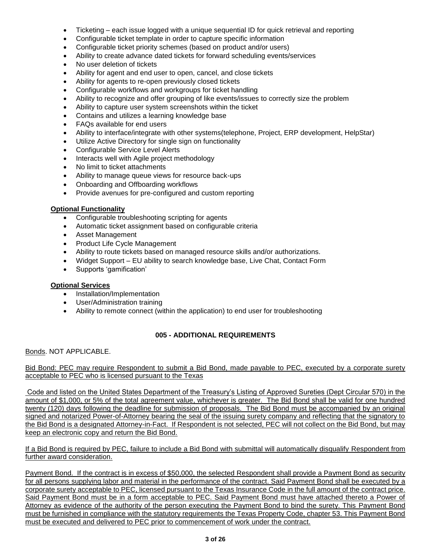- Ticketing each issue logged with a unique sequential ID for quick retrieval and reporting
- Configurable ticket template in order to capture specific information
- Configurable ticket priority schemes (based on product and/or users)
- Ability to create advance dated tickets for forward scheduling events/services
- No user deletion of tickets
- Ability for agent and end user to open, cancel, and close tickets
- Ability for agents to re-open previously closed tickets
- Configurable workflows and workgroups for ticket handling
- Ability to recognize and offer grouping of like events/issues to correctly size the problem
- Ability to capture user system screenshots within the ticket
- Contains and utilizes a learning knowledge base
- FAQs available for end users
- Ability to interface/integrate with other systems(telephone, Project, ERP development, HelpStar)
- Utilize Active Directory for single sign on functionality
- Configurable Service Level Alerts
- Interacts well with Agile project methodology
- No limit to ticket attachments
- Ability to manage queue views for resource back-ups
- Onboarding and Offboarding workflows
- Provide avenues for pre-configured and custom reporting

#### **Optional Functionality**

- Configurable troubleshooting scripting for agents
- Automatic ticket assignment based on configurable criteria
- Asset Management
- Product Life Cycle Management
- Ability to route tickets based on managed resource skills and/or authorizations.
- Widget Support EU ability to search knowledge base, Live Chat, Contact Form
- Supports 'gamification'

#### **Optional Services**

- Installation/Implementation
- User/Administration training
- Ability to remote connect (within the application) to end user for troubleshooting

# **005 - ADDITIONAL REQUIREMENTS**

<span id="page-2-0"></span>Bonds. NOT APPLICABLE.

Bid Bond: PEC may require Respondent to submit a Bid Bond, made payable to PEC, executed by a corporate surety acceptable to PEC who is licensed pursuant to the Texas

Code and listed on the United States Department of the Treasury's Listing of Approved Sureties (Dept Circular 570) in the amount of \$1,000, or 5% of the total agreement value, whichever is greater. The Bid Bond shall be valid for one hundred twenty (120) days following the deadline for submission of proposals. The Bid Bond must be accompanied by an original signed and notarized Power-of-Attorney bearing the seal of the issuing surety company and reflecting that the signatory to the Bid Bond is a designated Attorney-in-Fact. If Respondent is not selected, PEC will not collect on the Bid Bond, but may keep an electronic copy and return the Bid Bond.

#### If a Bid Bond is required by PEC, failure to include a Bid Bond with submittal will automatically disqualify Respondent from further award consideration.

Payment Bond. If the contract is in excess of \$50,000, the selected Respondent shall provide a Payment Bond as security for all persons supplying labor and material in the performance of the contract. Said Payment Bond shall be executed by a corporate surety acceptable to PEC, licensed pursuant to the Texas Insurance Code in the full amount of the contract price. Said Payment Bond must be in a form acceptable to PEC. Said Payment Bond must have attached thereto a Power of Attorney as evidence of the authority of the person executing the Payment Bond to bind the surety. This Payment Bond must be furnished in compliance with the statutory requirements the Texas Property Code, chapter 53. This Payment Bond must be executed and delivered to PEC prior to commencement of work under the contract.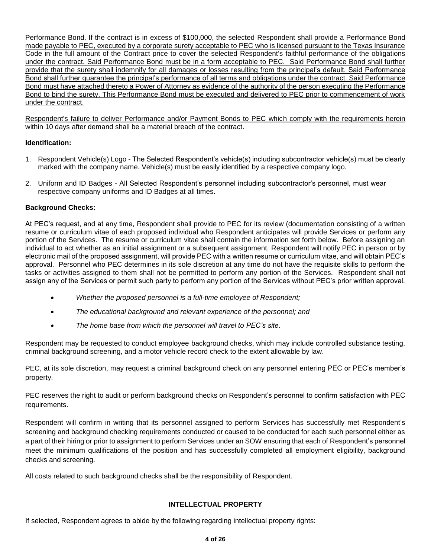Performance Bond. If the contract is in excess of \$100,000, the selected Respondent shall provide a Performance Bond made payable to PEC, executed by a corporate surety acceptable to PEC who is licensed pursuant to the Texas Insurance Code in the full amount of the Contract price to cover the selected Respondent's faithful performance of the obligations under the contract. Said Performance Bond must be in a form acceptable to PEC. Said Performance Bond shall further provide that the surety shall indemnify for all damages or losses resulting from the principal's default. Said Performance Bond shall further guarantee the principal's performance of all terms and obligations under the contract. Said Performance Bond must have attached thereto a Power of Attorney as evidence of the authority of the person executing the Performance Bond to bind the surety. This Performance Bond must be executed and delivered to PEC prior to commencement of work under the contract.

Respondent's failure to deliver Performance and/or Payment Bonds to PEC which comply with the requirements herein within 10 days after demand shall be a material breach of the contract.

## **Identification:**

- 1. Respondent Vehicle(s) Logo The Selected Respondent's vehicle(s) including subcontractor vehicle(s) must be clearly marked with the company name. Vehicle(s) must be easily identified by a respective company logo.
- 2. Uniform and ID Badges All Selected Respondent's personnel including subcontractor's personnel, must wear respective company uniforms and ID Badges at all times.

## **Background Checks:**

At PEC's request, and at any time, Respondent shall provide to PEC for its review (documentation consisting of a written resume or curriculum vitae of each proposed individual who Respondent anticipates will provide Services or perform any portion of the Services. The resume or curriculum vitae shall contain the information set forth below. Before assigning an individual to act whether as an initial assignment or a subsequent assignment, Respondent will notify PEC in person or by electronic mail of the proposed assignment, will provide PEC with a written resume or curriculum vitae, and will obtain PEC's approval. Personnel who PEC determines in its sole discretion at any time do not have the requisite skills to perform the tasks or activities assigned to them shall not be permitted to perform any portion of the Services. Respondent shall not assign any of the Services or permit such party to perform any portion of the Services without PEC's prior written approval.

- *Whether the proposed personnel is a full-time employee of Respondent;*
- *The educational background and relevant experience of the personnel; and*
- *The home base from which the personnel will travel to PEC's site.*

Respondent may be requested to conduct employee background checks, which may include controlled substance testing, criminal background screening, and a motor vehicle record check to the extent allowable by law.

PEC, at its sole discretion, may request a criminal background check on any personnel entering PEC or PEC's member's property.

PEC reserves the right to audit or perform background checks on Respondent's personnel to confirm satisfaction with PEC requirements.

Respondent will confirm in writing that its personnel assigned to perform Services has successfully met Respondent's screening and background checking requirements conducted or caused to be conducted for each such personnel either as a part of their hiring or prior to assignment to perform Services under an SOW ensuring that each of Respondent's personnel meet the minimum qualifications of the position and has successfully completed all employment eligibility, background checks and screening.

All costs related to such background checks shall be the responsibility of Respondent.

## **INTELLECTUAL PROPERTY**

<span id="page-3-0"></span>If selected, Respondent agrees to abide by the following regarding intellectual property rights: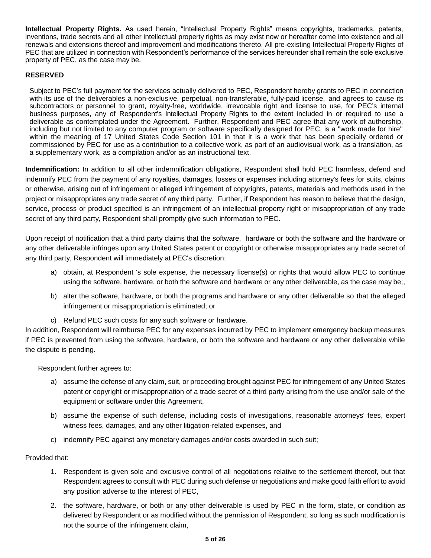**Intellectual Property Rights.** As used herein, "Intellectual Property Rights" means copyrights, trademarks, patents, inventions, trade secrets and all other intellectual property rights as may exist now or hereafter come into existence and all renewals and extensions thereof and improvement and modifications thereto. All pre-existing Intellectual Property Rights of PEC that are utilized in connection with Respondent's performance of the services hereunder shall remain the sole exclusive property of PEC, as the case may be.

## **RESERVED**

Subject to PEC's full payment for the services actually delivered to PEC, Respondent hereby grants to PEC in connection with its use of the deliverables a non-exclusive, perpetual, non-transferable, fully-paid license, and agrees to cause its subcontractors or personnel to grant, royalty-free, worldwide, irrevocable right and license to use, for PEC's internal business purposes, any of Respondent's Intellectual Property Rights to the extent included in or required to use a deliverable as contemplated under the Agreement. Further, Respondent and PEC agree that any work of authorship, including but not limited to any computer program or software specifically designed for PEC, is a "work made for hire" within the meaning of 17 United States Code Section 101 in that it is a work that has been specially ordered or commissioned by PEC for use as a contribution to a collective work, as part of an audiovisual work, as a translation, as a supplementary work, as a compilation and/or as an instructional text.

**Indemnification:** In addition to all other indemnification obligations, Respondent shall hold PEC harmless, defend and indemnify PEC from the payment of any royalties, damages, losses or expenses including attorney's fees for suits, claims or otherwise, arising out of infringement or alleged infringement of copyrights, patents, materials and methods used in the project or misappropriates any trade secret of any third party. Further, if Respondent has reason to believe that the design, service, process or product specified is an infringement of an intellectual property right or misappropriation of any trade secret of any third party, Respondent shall promptly give such information to PEC.

Upon receipt of notification that a third party claims that the software, hardware or both the software and the hardware or any other deliverable infringes upon any United States patent or copyright or otherwise misappropriates any trade secret of any third party, Respondent will immediately at PEC's discretion:

- a) obtain, at Respondent 's sole expense, the necessary license(s) or rights that would allow PEC to continue using the software, hardware, or both the software and hardware or any other deliverable, as the case may be;,
- b) alter the software, hardware, or both the programs and hardware or any other deliverable so that the alleged infringement or misappropriation is eliminated; or
- c) Refund PEC such costs for any such software or hardware.

In addition, Respondent will reimburse PEC for any expenses incurred by PEC to implement emergency backup measures if PEC is prevented from using the software, hardware, or both the software and hardware or any other deliverable while the dispute is pending.

Respondent further agrees to:

- a) assume the defense of any claim, suit, or proceeding brought against PEC for infringement of any United States patent or copyright or misappropriation of a trade secret of a third party arising from the use and/or sale of the equipment or software under this Agreement,
- b) assume the expense of such defense, including costs of investigations, reasonable attorneys' fees, expert witness fees, damages, and any other litigation-related expenses, and
- c) indemnify PEC against any monetary damages and/or costs awarded in such suit;

Provided that:

- 1. Respondent is given sole and exclusive control of all negotiations relative to the settlement thereof, but that Respondent agrees to consult with PEC during such defense or negotiations and make good faith effort to avoid any position adverse to the interest of PEC,
- 2. the software, hardware, or both or any other deliverable is used by PEC in the form, state, or condition as delivered by Respondent or as modified without the permission of Respondent, so long as such modification is not the source of the infringement claim,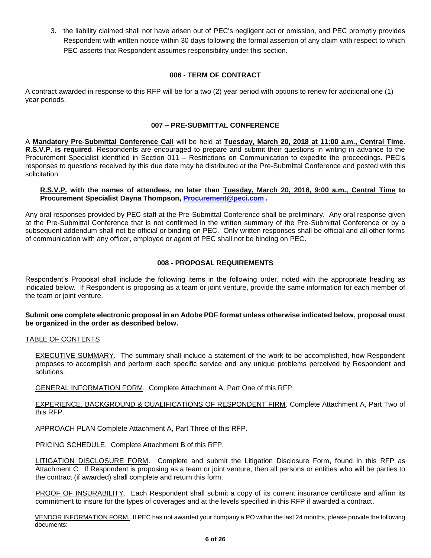3. the liability claimed shall not have arisen out of PEC's negligent act or omission, and PEC promptly provides Respondent with written notice within 30 days following the formal assertion of any claim with respect to which PEC asserts that Respondent assumes responsibility under this section.

#### **006 - TERM OF CONTRACT**

A contract awarded in response to this RFP will be for a two (2) year period with options to renew for additional one (1) year periods.

## **007 – PRE-SUBMITTAL CONFERENCE**

<span id="page-5-0"></span>A **Mandatory Pre-Submittal Conference Call** will be held at **Tuesday, March 20, 2018 at 11:00 a.m., Central Time**. **R.S.V.P. is required**. Respondents are encouraged to prepare and submit their questions in writing in advance to the Procurement Specialist identified in Section 011 – Restrictions on Communication to expedite the proceedings. PEC's responses to questions received by this due date may be distributed at the Pre-Submittal Conference and posted with this solicitation.

#### **R.S.V.P. with the names of attendees, no later than Tuesday, March 20, 2018, 9:00 a.m., Central Time to Procurement Specialist Dayna Thompson, [Procurement@peci.com](mailto:Procurement@peci.com)** *.*

Any oral responses provided by PEC staff at the Pre-Submittal Conference shall be preliminary. Any oral response given at the Pre-Submittal Conference that is not confirmed in the written summary of the Pre-Submittal Conference or by a subsequent addendum shall not be official or binding on PEC. Only written responses shall be official and all other forms of communication with any officer, employee or agent of PEC shall not be binding on PEC.

## **008 - PROPOSAL REQUIREMENTS**

<span id="page-5-1"></span>Respondent's Proposal shall include the following items in the following order, noted with the appropriate heading as indicated below. If Respondent is proposing as a team or joint venture, provide the same information for each member of the team or joint venture.

#### **Submit one complete electronic proposal in an Adobe PDF format unless otherwise indicated below, proposal must be organized in the order as described below.**

#### TABLE OF CONTENTS

EXECUTIVE SUMMARY. The summary shall include a statement of the work to be accomplished, how Respondent proposes to accomplish and perform each specific service and any unique problems perceived by Respondent and solutions.

GENERAL INFORMATION FORM. Complete Attachment A, Part One of this RFP.

EXPERIENCE, BACKGROUND & QUALIFICATIONS OF RESPONDENT FIRM. Complete Attachment A, Part Two of this RFP.

APPROACH PLAN Complete Attachment A, Part Three of this RFP.

PRICING SCHEDULE. Complete Attachment B of this RFP.

LITIGATION DISCLOSURE FORM. Complete and submit the Litigation Disclosure Form, found in this RFP as Attachment C. If Respondent is proposing as a team or joint venture, then all persons or entities who will be parties to the contract (if awarded) shall complete and return this form.

PROOF OF INSURABILITY. Each Respondent shall submit a copy of its current insurance certificate and affirm its commitment to insure for the types of coverages and at the levels specified in this RFP if awarded a contract.

VENDOR INFORMATION FORM. If PEC has not awarded your company a PO within the last 24 months, please provide the following documents: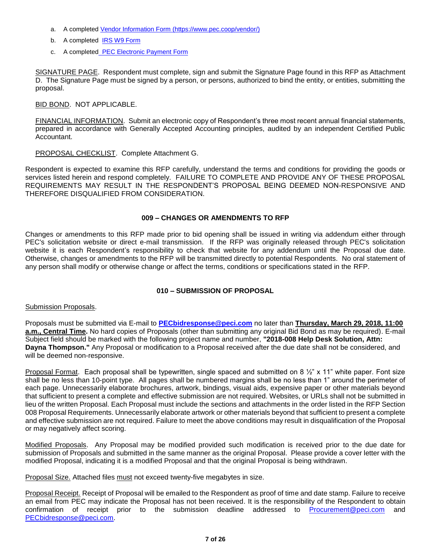- a. A completed [Vendor Information Form](https://www.pec.coop/vendor/) (https://www.pec.coop/vendor/)
- b. A completed [IRS W9 Form](https://www.pec.coop/vendor/)
- c. A completed [PEC Electronic Payment Form](https://www.pec.coop/vendor/)

SIGNATURE PAGE. Respondent must complete, sign and submit the Signature Page found in this RFP as Attachment D. The Signature Page must be signed by a person, or persons, authorized to bind the entity, or entities, submitting the proposal.

BID BOND. NOT APPLICABLE.

FINANCIAL INFORMATION. Submit an electronic copy of Respondent's three most recent annual financial statements, prepared in accordance with Generally Accepted Accounting principles, audited by an independent Certified Public Accountant.

PROPOSAL CHECKLIST. Complete Attachment G.

Respondent is expected to examine this RFP carefully, understand the terms and conditions for providing the goods or services listed herein and respond completely. FAILURE TO COMPLETE AND PROVIDE ANY OF THESE PROPOSAL REQUIREMENTS MAY RESULT IN THE RESPONDENT'S PROPOSAL BEING DEEMED NON-RESPONSIVE AND THEREFORE DISQUALIFIED FROM CONSIDERATION.

#### **009 – CHANGES OR AMENDMENTS TO RFP**

<span id="page-6-0"></span>Changes or amendments to this RFP made prior to bid opening shall be issued in writing via addendum either through PEC's solicitation website or direct e-mail transmission. If the RFP was originally released through PEC's solicitation website it is each Respondent's responsibility to check that website for any addendum until the Proposal due date. Otherwise, changes or amendments to the RFP will be transmitted directly to potential Respondents. No oral statement of any person shall modify or otherwise change or affect the terms, conditions or specifications stated in the RFP.

## **010 – SUBMISSION OF PROPOSAL**

<span id="page-6-1"></span>Submission Proposals.

Proposals must be submitted via E-mail to **[PECbidresponse@peci.com](mailto:PECbidresponse@peci.com)** no later than **Thursday, March 29, 2018, 11:00 a.m., Central Time.** No hard copies of Proposals (other than submitting any original Bid Bond as may be required). E-mail Subject field should be marked with the following project name and number, **"2018-008 Help Desk Solution, Attn: Dayna Thompson."** Any Proposal or modification to a Proposal received after the due date shall not be considered, and will be deemed non-responsive.

Proposal Format. Each proposal shall be typewritten, single spaced and submitted on 8  $\frac{1}{2}$ " x 11" white paper. Font size shall be no less than 10-point type. All pages shall be numbered margins shall be no less than 1" around the perimeter of each page. Unnecessarily elaborate brochures, artwork, bindings, visual aids, expensive paper or other materials beyond that sufficient to present a complete and effective submission are not required. Websites, or URLs shall not be submitted in lieu of the written Proposal. Each Proposal must include the sections and attachments in the order listed in the RFP Section 008 Proposal Requirements. Unnecessarily elaborate artwork or other materials beyond that sufficient to present a complete and effective submission are not required. Failure to meet the above conditions may result in disqualification of the Proposal or may negatively affect scoring.

Modified Proposals. Any Proposal may be modified provided such modification is received prior to the due date for submission of Proposals and submitted in the same manner as the original Proposal. Please provide a cover letter with the modified Proposal, indicating it is a modified Proposal and that the original Proposal is being withdrawn.

Proposal Size. Attached files must not exceed twenty-five megabytes in size.

Proposal Receipt. Receipt of Proposal will be emailed to the Respondent as proof of time and date stamp. Failure to receive an email from PEC may indicate the Proposal has not been received. It is the responsibility of the Respondent to obtain confirmation of receipt prior to the submission deadline addressed to [Procurement@peci.com](mailto:Procurement@peci.com) and [PECbidresponse@peci.com.](mailto:PECbidresponse@peci.com)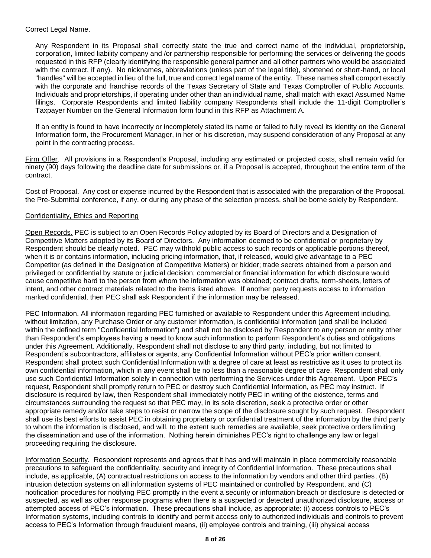## Correct Legal Name.

Any Respondent in its Proposal shall correctly state the true and correct name of the individual, proprietorship, corporation, limited liability company and /or partnership responsible for performing the services or delivering the goods requested in this RFP (clearly identifying the responsible general partner and all other partners who would be associated with the contract, if any). No nicknames, abbreviations (unless part of the legal title), shortened or short-hand, or local "handles" will be accepted in lieu of the full, true and correct legal name of the entity. These names shall comport exactly with the corporate and franchise records of the Texas Secretary of State and Texas Comptroller of Public Accounts. Individuals and proprietorships, if operating under other than an individual name, shall match with exact Assumed Name filings. Corporate Respondents and limited liability company Respondents shall include the 11-digit Comptroller's Taxpayer Number on the General Information form found in this RFP as Attachment A.

If an entity is found to have incorrectly or incompletely stated its name or failed to fully reveal its identity on the General Information form, the Procurement Manager, in her or his discretion, may suspend consideration of any Proposal at any point in the contracting process.

Firm Offer. All provisions in a Respondent's Proposal, including any estimated or projected costs, shall remain valid for ninety (90) days following the deadline date for submissions or, if a Proposal is accepted, throughout the entire term of the contract.

Cost of Proposal. Any cost or expense incurred by the Respondent that is associated with the preparation of the Proposal, the Pre-Submittal conference, if any, or during any phase of the selection process, shall be borne solely by Respondent.

## Confidentiality, Ethics and Reporting

Open Records. PEC is subject to an Open Records Policy adopted by its Board of Directors and a Designation of Competitive Matters adopted by its Board of Directors. Any information deemed to be confidential or proprietary by Respondent should be clearly noted. PEC may withhold public access to such records or applicable portions thereof, when it is or contains information, including pricing information, that, if released, would give advantage to a PEC Competitor (as defined in the Designation of Competitive Matters) or bidder; trade secrets obtained from a person and privileged or confidential by statute or judicial decision; commercial or financial information for which disclosure would cause competitive hard to the person from whom the information was obtained; contract drafts, term-sheets, letters of intent, and other contract materials related to the items listed above. If another party requests access to information marked confidential, then PEC shall ask Respondent if the information may be released.

PEC Information. All information regarding PEC furnished or available to Respondent under this Agreement including, without limitation, any Purchase Order or any customer information, is confidential information (and shall be included within the defined term "Confidential Information") and shall not be disclosed by Respondent to any person or entity other than Respondent's employees having a need to know such information to perform Respondent's duties and obligations under this Agreement. Additionally, Respondent shall not disclose to any third party, including, but not limited to Respondent's subcontractors, affiliates or agents, any Confidential Information without PEC's prior written consent. Respondent shall protect such Confidential Information with a degree of care at least as restrictive as it uses to protect its own confidential information, which in any event shall be no less than a reasonable degree of care. Respondent shall only use such Confidential Information solely in connection with performing the Services under this Agreement. Upon PEC's request, Respondent shall promptly return to PEC or destroy such Confidential Information, as PEC may instruct. If disclosure is required by law, then Respondent shall immediately notify PEC in writing of the existence, terms and circumstances surrounding the request so that PEC may, in its sole discretion, seek a protective order or other appropriate remedy and/or take steps to resist or narrow the scope of the disclosure sought by such request. Respondent shall use its best efforts to assist PEC in obtaining proprietary or confidential treatment of the information by the third party to whom the information is disclosed, and will, to the extent such remedies are available, seek protective orders limiting the dissemination and use of the information. Nothing herein diminishes PEC's right to challenge any law or legal proceeding requiring the disclosure.

Information Security. Respondent represents and agrees that it has and will maintain in place commercially reasonable precautions to safeguard the confidentiality, security and integrity of Confidential Information. These precautions shall include, as applicable, (A) contractual restrictions on access to the information by vendors and other third parties, (B) intrusion detection systems on all information systems of PEC maintained or controlled by Respondent, and (C) notification procedures for notifying PEC promptly in the event a security or information breach or disclosure is detected or suspected, as well as other response programs when there is a suspected or detected unauthorized disclosure, access or attempted access of PEC's information. These precautions shall include, as appropriate: (i) access controls to PEC's Information systems, including controls to identify and permit access only to authorized individuals and controls to prevent access to PEC's Information through fraudulent means, (ii) employee controls and training, (iii) physical access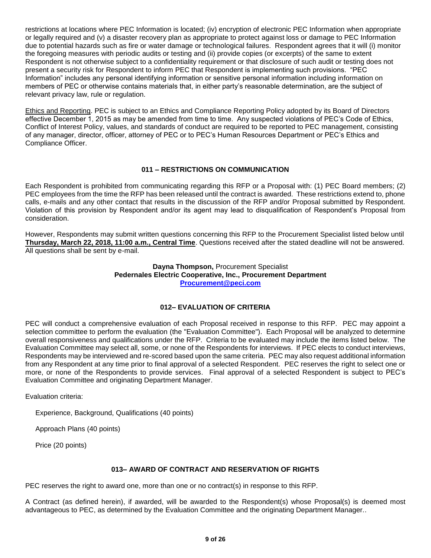restrictions at locations where PEC Information is located; (iv) encryption of electronic PEC Information when appropriate or legally required and (v) a disaster recovery plan as appropriate to protect against loss or damage to PEC Information due to potential hazards such as fire or water damage or technological failures. Respondent agrees that it will (i) monitor the foregoing measures with periodic audits or testing and (ii) provide copies (or excerpts) of the same to extent Respondent is not otherwise subject to a confidentiality requirement or that disclosure of such audit or testing does not present a security risk for Respondent to inform PEC that Respondent is implementing such provisions. "PEC Information" includes any personal identifying information or sensitive personal information including information on members of PEC or otherwise contains materials that, in either party's reasonable determination, are the subject of relevant privacy law, rule or regulation.

Ethics and Reporting. PEC is subject to an Ethics and Compliance Reporting Policy adopted by its Board of Directors effective December 1, 2015 as may be amended from time to time. Any suspected violations of PEC's Code of Ethics, Conflict of Interest Policy, values, and standards of conduct are required to be reported to PEC management, consisting of any manager, director, officer, attorney of PEC or to PEC's Human Resources Department or PEC's Ethics and Compliance Officer.

## **011 – RESTRICTIONS ON COMMUNICATION**

<span id="page-8-0"></span>Each Respondent is prohibited from communicating regarding this RFP or a Proposal with: (1) PEC Board members; (2) PEC employees from the time the RFP has been released until the contract is awarded. These restrictions extend to, phone calls, e-mails and any other contact that results in the discussion of the RFP and/or Proposal submitted by Respondent. Violation of this provision by Respondent and/or its agent may lead to disqualification of Respondent's Proposal from consideration.

However, Respondents may submit written questions concerning this RFP to the Procurement Specialist listed below until **Thursday, March 22, 2018, 11:00 a.m., Central Time**. Questions received after the stated deadline will not be answered. All questions shall be sent by e-mail.

## **Dayna Thompson,** Procurement Specialist **Pedernales Electric Cooperative, Inc., Procurement Department [Procurement@peci.com](mailto:Procurement@peci.com)**

#### **012– EVALUATION OF CRITERIA**

<span id="page-8-1"></span>PEC will conduct a comprehensive evaluation of each Proposal received in response to this RFP. PEC may appoint a selection committee to perform the evaluation (the "Evaluation Committee"). Each Proposal will be analyzed to determine overall responsiveness and qualifications under the RFP. Criteria to be evaluated may include the items listed below. The Evaluation Committee may select all, some, or none of the Respondents for interviews. If PEC elects to conduct interviews, Respondents may be interviewed and re-scored based upon the same criteria. PEC may also request additional information from any Respondent at any time prior to final approval of a selected Respondent. PEC reserves the right to select one or more, or none of the Respondents to provide services. Final approval of a selected Respondent is subject to PEC's Evaluation Committee and originating Department Manager.

Evaluation criteria:

Experience, Background, Qualifications (40 points)

Approach Plans (40 points)

Price (20 points)

#### **013– AWARD OF CONTRACT AND RESERVATION OF RIGHTS**

<span id="page-8-2"></span>PEC reserves the right to award one, more than one or no contract(s) in response to this RFP.

A Contract (as defined herein), if awarded, will be awarded to the Respondent(s) whose Proposal(s) is deemed most advantageous to PEC, as determined by the Evaluation Committee and the originating Department Manager..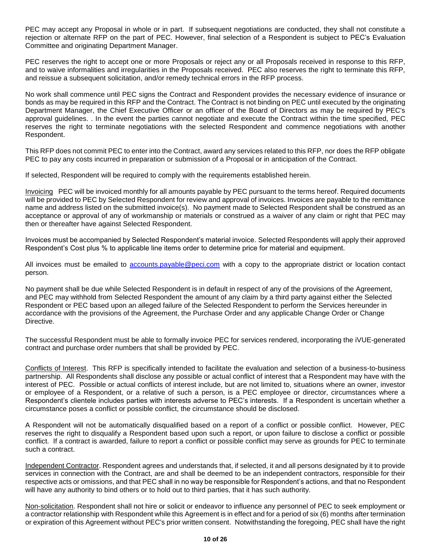PEC may accept any Proposal in whole or in part. If subsequent negotiations are conducted, they shall not constitute a rejection or alternate RFP on the part of PEC. However, final selection of a Respondent is subject to PEC's Evaluation Committee and originating Department Manager.

PEC reserves the right to accept one or more Proposals or reject any or all Proposals received in response to this RFP, and to waive informalities and irregularities in the Proposals received. PEC also reserves the right to terminate this RFP, and reissue a subsequent solicitation, and/or remedy technical errors in the RFP process.

No work shall commence until PEC signs the Contract and Respondent provides the necessary evidence of insurance or bonds as may be required in this RFP and the Contract. The Contract is not binding on PEC until executed by the originating Department Manager, the Chief Executive Officer or an officer of the Board of Directors as may be required by PEC's approval guidelines. . In the event the parties cannot negotiate and execute the Contract within the time specified, PEC reserves the right to terminate negotiations with the selected Respondent and commence negotiations with another Respondent.

This RFP does not commit PEC to enter into the Contract, award any services related to this RFP, nor does the RFP obligate PEC to pay any costs incurred in preparation or submission of a Proposal or in anticipation of the Contract.

If selected, Respondent will be required to comply with the requirements established herein.

Invoicing PEC will be invoiced monthly for all amounts payable by PEC pursuant to the terms hereof. Required documents will be provided to PEC by Selected Respondent for review and approval of invoices. Invoices are payable to the remittance name and address listed on the submitted invoice(s). No payment made to Selected Respondent shall be construed as an acceptance or approval of any of workmanship or materials or construed as a waiver of any claim or right that PEC may then or thereafter have against Selected Respondent.

Invoices must be accompanied by Selected Respondent's material invoice. Selected Respondents will apply their approved Respondent's Cost plus % to applicable line items order to determine price for material and equipment.

All invoices must be emailed to [accounts.payable@peci.com](mailto:accounts.payable@peci.com) with a copy to the appropriate district or location contact person.

No payment shall be due while Selected Respondent is in default in respect of any of the provisions of the Agreement, and PEC may withhold from Selected Respondent the amount of any claim by a third party against either the Selected Respondent or PEC based upon an alleged failure of the Selected Respondent to perform the Services hereunder in accordance with the provisions of the Agreement, the Purchase Order and any applicable Change Order or Change Directive.

The successful Respondent must be able to formally invoice PEC for services rendered, incorporating the iVUE-generated contract and purchase order numbers that shall be provided by PEC.

Conflicts of Interest. This RFP is specifically intended to facilitate the evaluation and selection of a business-to-business partnership. All Respondents shall disclose any possible or actual conflict of interest that a Respondent may have with the interest of PEC. Possible or actual conflicts of interest include, but are not limited to, situations where an owner, investor or employee of a Respondent, or a relative of such a person, is a PEC employee or director, circumstances where a Respondent's clientele includes parties with interests adverse to PEC's interests. If a Respondent is uncertain whether a circumstance poses a conflict or possible conflict, the circumstance should be disclosed.

A Respondent will not be automatically disqualified based on a report of a conflict or possible conflict. However, PEC reserves the right to disqualify a Respondent based upon such a report, or upon failure to disclose a conflict or possible conflict. If a contract is awarded, failure to report a conflict or possible conflict may serve as grounds for PEC to terminate such a contract.

Independent Contractor. Respondent agrees and understands that, if selected, it and all persons designated by it to provide services in connection with the Contract, are and shall be deemed to be an independent contractors, responsible for their respective acts or omissions, and that PEC shall in no way be responsible for Respondent's actions, and that no Respondent will have any authority to bind others or to hold out to third parties, that it has such authority.

Non-solicitation. Respondent shall not hire or solicit or endeavor to influence any personnel of PEC to seek employment or a contractor relationship with Respondent while this Agreement is in effect and for a period of six (6) months after termination or expiration of this Agreement without PEC's prior written consent. Notwithstanding the foregoing, PEC shall have the right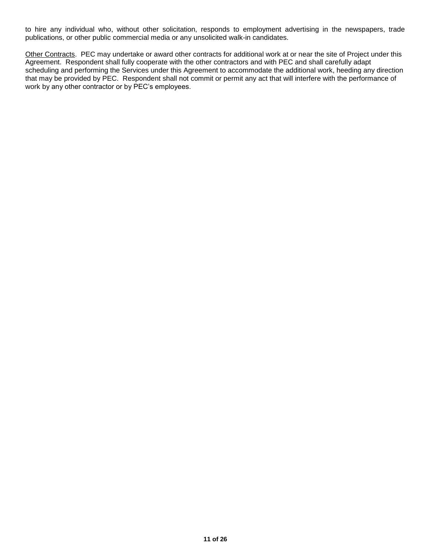to hire any individual who, without other solicitation, responds to employment advertising in the newspapers, trade publications, or other public commercial media or any unsolicited walk-in candidates.

Other Contracts. PEC may undertake or award other contracts for additional work at or near the site of Project under this Agreement. Respondent shall fully cooperate with the other contractors and with PEC and shall carefully adapt scheduling and performing the Services under this Agreement to accommodate the additional work, heeding any direction that may be provided by PEC. Respondent shall not commit or permit any act that will interfere with the performance of work by any other contractor or by PEC's employees.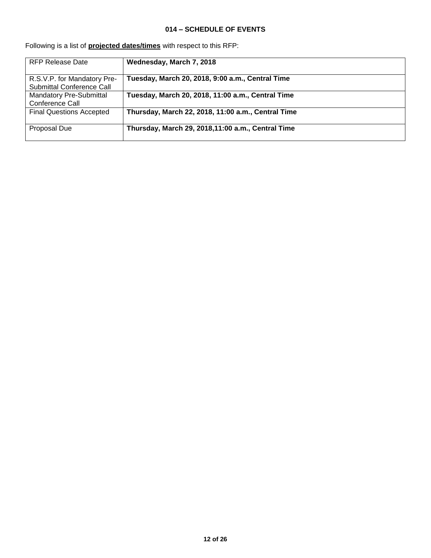## **014 – SCHEDULE OF EVENTS**

| <b>RFP Release Date</b>         | Wednesday, March 7, 2018                           |
|---------------------------------|----------------------------------------------------|
|                                 |                                                    |
| R.S.V.P. for Mandatory Pre-     | Tuesday, March 20, 2018, 9:00 a.m., Central Time   |
| Submittal Conference Call       |                                                    |
| Mandatory Pre-Submittal         | Tuesday, March 20, 2018, 11:00 a.m., Central Time  |
| Conference Call                 |                                                    |
| <b>Final Questions Accepted</b> | Thursday, March 22, 2018, 11:00 a.m., Central Time |
|                                 |                                                    |
| Proposal Due                    | Thursday, March 29, 2018,11:00 a.m., Central Time  |
|                                 |                                                    |

<span id="page-11-0"></span>Following is a list of **projected dates/times** with respect to this RFP: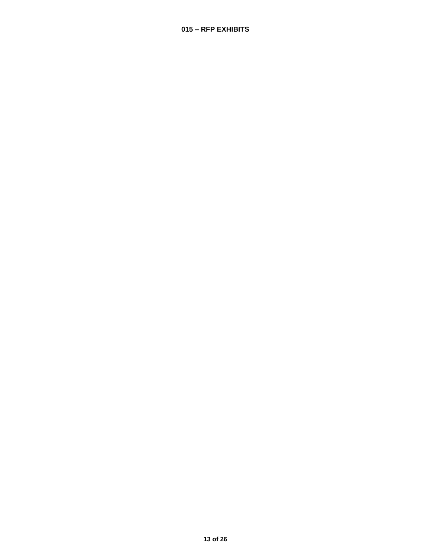## <span id="page-12-0"></span>**– RFP EXHIBITS**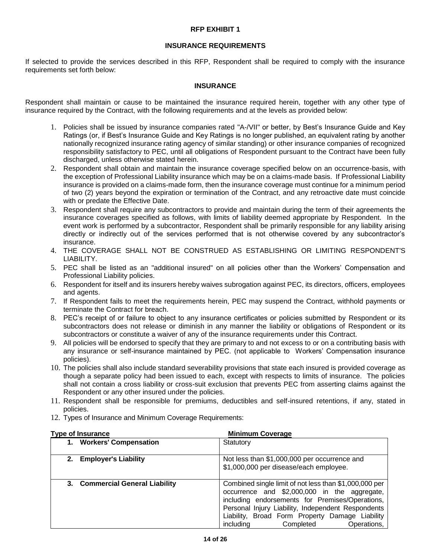## **RFP EXHIBIT 1**

## **INSURANCE REQUIREMENTS**

If selected to provide the services described in this RFP, Respondent shall be required to comply with the insurance requirements set forth below:

## **INSURANCE**

Respondent shall maintain or cause to be maintained the insurance required herein, together with any other type of insurance required by the Contract, with the following requirements and at the levels as provided below:

- 1. Policies shall be issued by insurance companies rated "A-/VII" or better, by Best's Insurance Guide and Key Ratings (or, if Best's Insurance Guide and Key Ratings is no longer published, an equivalent rating by another nationally recognized insurance rating agency of similar standing) or other insurance companies of recognized responsibility satisfactory to PEC, until all obligations of Respondent pursuant to the Contract have been fully discharged, unless otherwise stated herein.
- 2. Respondent shall obtain and maintain the insurance coverage specified below on an occurrence-basis, with the exception of Professional Liability insurance which may be on a claims-made basis. If Professional Liability insurance is provided on a claims-made form, then the insurance coverage must continue for a minimum period of two (2) years beyond the expiration or termination of the Contract, and any retroactive date must coincide with or predate the Effective Date.
- 3. Respondent shall require any subcontractors to provide and maintain during the term of their agreements the insurance coverages specified as follows, with limits of liability deemed appropriate by Respondent. In the event work is performed by a subcontractor, Respondent shall be primarily responsible for any liability arising directly or indirectly out of the services performed that is not otherwise covered by any subcontractor's insurance.
- 4. THE COVERAGE SHALL NOT BE CONSTRUED AS ESTABLISHING OR LIMITING RESPONDENT'S LIABILITY.
- 5. PEC shall be listed as an "additional insured" on all policies other than the Workers' Compensation and Professional Liability policies.
- 6. Respondent for itself and its insurers hereby waives subrogation against PEC, its directors, officers, employees and agents.
- 7. If Respondent fails to meet the requirements herein, PEC may suspend the Contract, withhold payments or terminate the Contract for breach.
- 8. PEC's receipt of or failure to object to any insurance certificates or policies submitted by Respondent or its subcontractors does not release or diminish in any manner the liability or obligations of Respondent or its subcontractors or constitute a waiver of any of the insurance requirements under this Contract.
- 9. All policies will be endorsed to specify that they are primary to and not excess to or on a contributing basis with any insurance or self-insurance maintained by PEC. (not applicable to Workers' Compensation insurance policies).
- 10. The policies shall also include standard severability provisions that state each insured is provided coverage as though a separate policy had been issued to each, except with respects to limits of insurance. The policies shall not contain a cross liability or cross-suit exclusion that prevents PEC from asserting claims against the Respondent or any other insured under the policies.
- 11. Respondent shall be responsible for premiums, deductibles and self-insured retentions, if any, stated in policies.
- 12. Types of Insurance and Minimum Coverage Requirements:

| <b>Type of Insurance</b>           | <b>Minimum Coverage</b>                                                                                                                                                                                                                                                                                     |
|------------------------------------|-------------------------------------------------------------------------------------------------------------------------------------------------------------------------------------------------------------------------------------------------------------------------------------------------------------|
| <b>Workers' Compensation</b><br>1. | Statutory                                                                                                                                                                                                                                                                                                   |
| <b>Employer's Liability</b><br>2.  | Not less than \$1,000,000 per occurrence and<br>\$1,000,000 per disease/each employee.                                                                                                                                                                                                                      |
| 3. Commercial General Liability    | Combined single limit of not less than \$1,000,000 per<br>occurrence and \$2,000,000 in the aggregate,<br>including endorsements for Premises/Operations,<br>Personal Injury Liability, Independent Respondents<br>Liability, Broad Form Property Damage Liability<br>including<br>Completed<br>Operations, |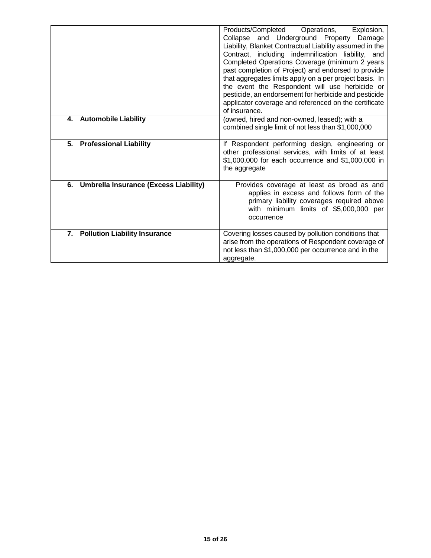| <b>Automobile Liability</b><br>4.        | Products/Completed<br>Explosion,<br>Operations,<br>Collapse and Underground Property<br>Damage<br>Liability, Blanket Contractual Liability assumed in the<br>Contract, including indemnification liability, and<br>Completed Operations Coverage (minimum 2 years<br>past completion of Project) and endorsed to provide<br>that aggregates limits apply on a per project basis. In<br>the event the Respondent will use herbicide or<br>pesticide, an endorsement for herbicide and pesticide<br>applicator coverage and referenced on the certificate<br>of insurance. |
|------------------------------------------|--------------------------------------------------------------------------------------------------------------------------------------------------------------------------------------------------------------------------------------------------------------------------------------------------------------------------------------------------------------------------------------------------------------------------------------------------------------------------------------------------------------------------------------------------------------------------|
|                                          | (owned, hired and non-owned, leased); with a<br>combined single limit of not less than \$1,000,000                                                                                                                                                                                                                                                                                                                                                                                                                                                                       |
| <b>Professional Liability</b><br>5.      | If Respondent performing design, engineering or<br>other professional services, with limits of at least<br>\$1,000,000 for each occurrence and \$1,000,000 in<br>the aggregate                                                                                                                                                                                                                                                                                                                                                                                           |
| 6. Umbrella Insurance (Excess Liability) | Provides coverage at least as broad as and<br>applies in excess and follows form of the<br>primary liability coverages required above<br>with minimum limits of \$5,000,000 per<br>occurrence                                                                                                                                                                                                                                                                                                                                                                            |
| 7. Pollution Liability Insurance         | Covering losses caused by pollution conditions that<br>arise from the operations of Respondent coverage of<br>not less than \$1,000,000 per occurrence and in the<br>aggregate.                                                                                                                                                                                                                                                                                                                                                                                          |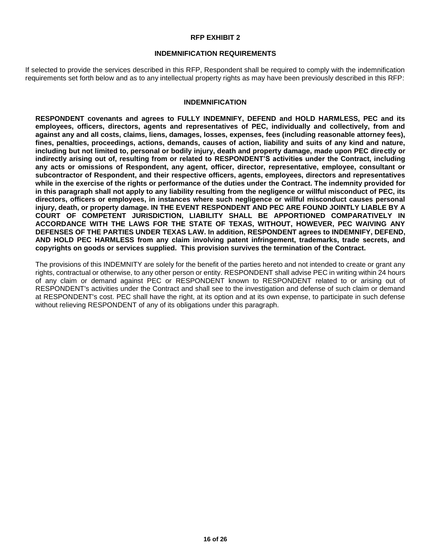#### **RFP EXHIBIT 2**

#### **INDEMNIFICATION REQUIREMENTS**

If selected to provide the services described in this RFP, Respondent shall be required to comply with the indemnification requirements set forth below and as to any intellectual property rights as may have been previously described in this RFP:

#### **INDEMNIFICATION**

**RESPONDENT covenants and agrees to FULLY INDEMNIFY, DEFEND and HOLD HARMLESS, PEC and its employees, officers, directors, agents and representatives of PEC, individually and collectively, from and against any and all costs, claims, liens, damages, losses, expenses, fees (including reasonable attorney fees), fines, penalties, proceedings, actions, demands, causes of action, liability and suits of any kind and nature, including but not limited to, personal or bodily injury, death and property damage, made upon PEC directly or indirectly arising out of, resulting from or related to RESPONDENT'S activities under the Contract, including any acts or omissions of Respondent, any agent, officer, director, representative, employee, consultant or subcontractor of Respondent, and their respective officers, agents, employees, directors and representatives while in the exercise of the rights or performance of the duties under the Contract. The indemnity provided for in this paragraph shall not apply to any liability resulting from the negligence or willful misconduct of PEC, its directors, officers or employees, in instances where such negligence or willful misconduct causes personal injury, death, or property damage. IN THE EVENT RESPONDENT AND PEC ARE FOUND JOINTLY LIABLE BY A COURT OF COMPETENT JURISDICTION, LIABILITY SHALL BE APPORTIONED COMPARATIVELY IN ACCORDANCE WITH THE LAWS FOR THE STATE OF TEXAS, WITHOUT, HOWEVER, PEC WAIVING ANY DEFENSES OF THE PARTIES UNDER TEXAS LAW. In addition, RESPONDENT agrees to INDEMNIFY, DEFEND, AND HOLD PEC HARMLESS from any claim involving patent infringement, trademarks, trade secrets, and copyrights on goods or services supplied. This provision survives the termination of the Contract.**

<span id="page-15-0"></span>The provisions of this INDEMNITY are solely for the benefit of the parties hereto and not intended to create or grant any rights, contractual or otherwise, to any other person or entity. RESPONDENT shall advise PEC in writing within 24 hours of any claim or demand against PEC or RESPONDENT known to RESPONDENT related to or arising out of RESPONDENT's activities under the Contract and shall see to the investigation and defense of such claim or demand at RESPONDENT's cost. PEC shall have the right, at its option and at its own expense, to participate in such defense without relieving RESPONDENT of any of its obligations under this paragraph.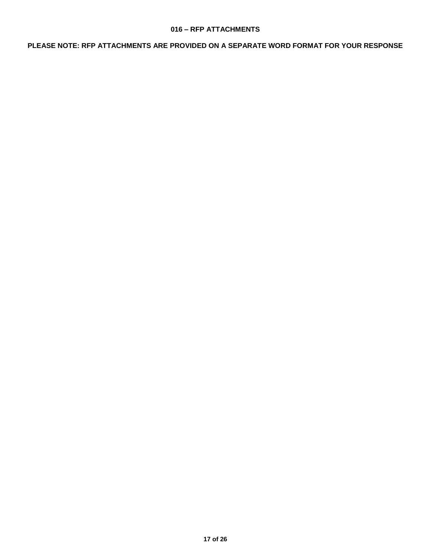## **016 – RFP ATTACHMENTS**

**PLEASE NOTE: RFP ATTACHMENTS ARE PROVIDED ON A SEPARATE WORD FORMAT FOR YOUR RESPONSE**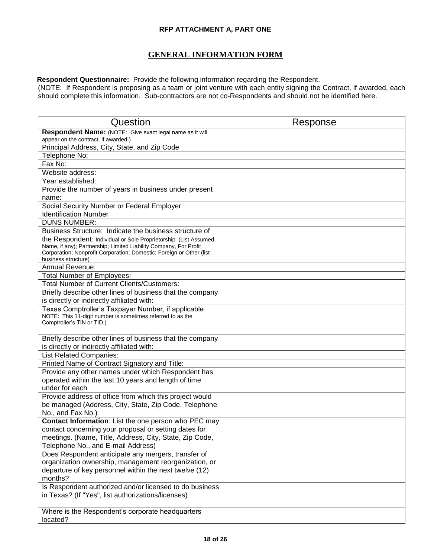## **RFP ATTACHMENT A, PART ONE**

# **GENERAL INFORMATION FORM**

 **Respondent Questionnaire:** Provide the following information regarding the Respondent.

(NOTE: If Respondent is proposing as a team or joint venture with each entity signing the Contract, if awarded, each should complete this information. Sub-contractors are not co-Respondents and should not be identified here.

| Question                                                                                 | Response |
|------------------------------------------------------------------------------------------|----------|
| Respondent Name: (NOTE: Give exact legal name as it will                                 |          |
| appear on the contract, if awarded.)                                                     |          |
| Principal Address, City, State, and Zip Code                                             |          |
| Telephone No:                                                                            |          |
| Fax No:                                                                                  |          |
| Website address:                                                                         |          |
| Year established:                                                                        |          |
| Provide the number of years in business under present                                    |          |
| name:                                                                                    |          |
| Social Security Number or Federal Employer                                               |          |
| <b>Identification Number</b>                                                             |          |
| <b>DUNS NUMBER:</b>                                                                      |          |
| Business Structure: Indicate the business structure of                                   |          |
| the Respondent: Individual or Sole Proprietorship (List Assumed                          |          |
| Name, if any); Partnership; Limited Liability Company, For Profit                        |          |
| Corporation; Nonprofit Corporation; Domestic; Foreign or Other (list                     |          |
| business structure)                                                                      |          |
| <b>Annual Revenue:</b>                                                                   |          |
| <b>Total Number of Employees:</b>                                                        |          |
| <b>Total Number of Current Clients/Customers:</b>                                        |          |
| Briefly describe other lines of business that the company                                |          |
| is directly or indirectly affiliated with:                                               |          |
| Texas Comptroller's Taxpayer Number, if applicable                                       |          |
| NOTE: This 11-digit number is sometimes referred to as the<br>Comptroller's TIN or TID.) |          |
|                                                                                          |          |
| Briefly describe other lines of business that the company                                |          |
| is directly or indirectly affiliated with:                                               |          |
| <b>List Related Companies:</b>                                                           |          |
| Printed Name of Contract Signatory and Title:                                            |          |
| Provide any other names under which Respondent has                                       |          |
| operated within the last 10 years and length of time                                     |          |
| under for each                                                                           |          |
| Provide address of office from which this project would                                  |          |
| be managed (Address, City, State, Zip Code. Telephone                                    |          |
| No., and Fax No.)                                                                        |          |
| Contact Information: List the one person who PEC may                                     |          |
| contact concerning your proposal or setting dates for                                    |          |
| meetings. (Name, Title, Address, City, State, Zip Code,                                  |          |
| Telephone No., and E-mail Address)                                                       |          |
| Does Respondent anticipate any mergers, transfer of                                      |          |
| organization ownership, management reorganization, or                                    |          |
| departure of key personnel within the next twelve (12)                                   |          |
| months?                                                                                  |          |
| Is Respondent authorized and/or licensed to do business                                  |          |
| in Texas? (If "Yes", list authorizations/licenses)                                       |          |
|                                                                                          |          |
| Where is the Respondent's corporate headquarters                                         |          |
| located?                                                                                 |          |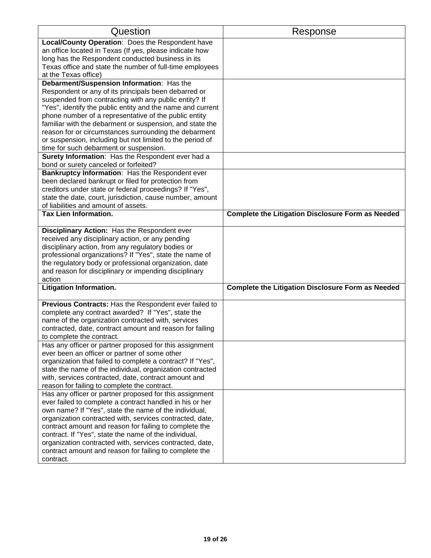| Question                                                   | Response                                                 |
|------------------------------------------------------------|----------------------------------------------------------|
| Local/County Operation: Does the Respondent have           |                                                          |
| an office located in Texas (If yes, please indicate how    |                                                          |
| long has the Respondent conducted business in its          |                                                          |
| Texas office and state the number of full-time employees   |                                                          |
| at the Texas office)                                       |                                                          |
| Debarment/Suspension Information: Has the                  |                                                          |
| Respondent or any of its principals been debarred or       |                                                          |
| suspended from contracting with any public entity? If      |                                                          |
| "Yes", identify the public entity and the name and current |                                                          |
| phone number of a representative of the public entity      |                                                          |
| familiar with the debarment or suspension, and state the   |                                                          |
| reason for or circumstances surrounding the debarment      |                                                          |
| or suspension, including but not limited to the period of  |                                                          |
| time for such debarment or suspension.                     |                                                          |
| Surety Information: Has the Respondent ever had a          |                                                          |
| bond or surety canceled or forfeited?                      |                                                          |
| Bankruptcy Information: Has the Respondent ever            |                                                          |
| been declared bankrupt or filed for protection from        |                                                          |
| creditors under state or federal proceedings? If "Yes",    |                                                          |
| state the date, court, jurisdiction, cause number, amount  |                                                          |
| of liabilities and amount of assets.                       |                                                          |
| <b>Tax Lien Information.</b>                               | <b>Complete the Litigation Disclosure Form as Needed</b> |
| Disciplinary Action: Has the Respondent ever               |                                                          |
| received any disciplinary action, or any pending           |                                                          |
| disciplinary action, from any regulatory bodies or         |                                                          |
| professional organizations? If "Yes", state the name of    |                                                          |
| the regulatory body or professional organization, date     |                                                          |
| and reason for disciplinary or impending disciplinary      |                                                          |
| action                                                     |                                                          |
| <b>Litigation Information.</b>                             | <b>Complete the Litigation Disclosure Form as Needed</b> |
| Previous Contracts: Has the Respondent ever failed to      |                                                          |
| complete any contract awarded? If "Yes", state the         |                                                          |
| name of the organization contracted with, services         |                                                          |
| contracted, date, contract amount and reason for failing   |                                                          |
| to complete the contract.                                  |                                                          |
| Has any officer or partner proposed for this assignment    |                                                          |
| ever been an officer or partner of some other              |                                                          |
| organization that failed to complete a contract? If "Yes", |                                                          |
| state the name of the individual, organization contracted  |                                                          |
| with, services contracted, date, contract amount and       |                                                          |
| reason for failing to complete the contract.               |                                                          |
| Has any officer or partner proposed for this assignment    |                                                          |
| ever failed to complete a contract handled in his or her   |                                                          |
| own name? If "Yes", state the name of the individual,      |                                                          |
| organization contracted with, services contracted, date,   |                                                          |
| contract amount and reason for failing to complete the     |                                                          |
| contract. If "Yes", state the name of the individual,      |                                                          |
| organization contracted with, services contracted, date,   |                                                          |
| contract amount and reason for failing to complete the     |                                                          |
| contract.                                                  |                                                          |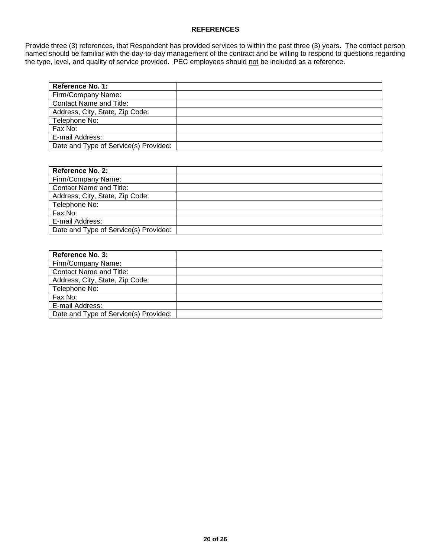## **REFERENCES**

Provide three (3) references, that Respondent has provided services to within the past three (3) years. The contact person named should be familiar with the day-to-day management of the contract and be willing to respond to questions regarding the type, level, and quality of service provided. PEC employees should not be included as a reference.

| Reference No. 1:                      |  |
|---------------------------------------|--|
| Firm/Company Name:                    |  |
| <b>Contact Name and Title:</b>        |  |
| Address, City, State, Zip Code:       |  |
| Telephone No:                         |  |
| Fax No:                               |  |
| E-mail Address:                       |  |
| Date and Type of Service(s) Provided: |  |

| <b>Reference No. 2:</b>               |  |
|---------------------------------------|--|
| Firm/Company Name:                    |  |
| Contact Name and Title:               |  |
| Address, City, State, Zip Code:       |  |
| Telephone No:                         |  |
| Fax No:                               |  |
| E-mail Address:                       |  |
| Date and Type of Service(s) Provided: |  |

| <b>Reference No. 3:</b>               |  |
|---------------------------------------|--|
| Firm/Company Name:                    |  |
| <b>Contact Name and Title:</b>        |  |
| Address, City, State, Zip Code:       |  |
| Telephone No:                         |  |
| Fax No:                               |  |
| E-mail Address:                       |  |
| Date and Type of Service(s) Provided: |  |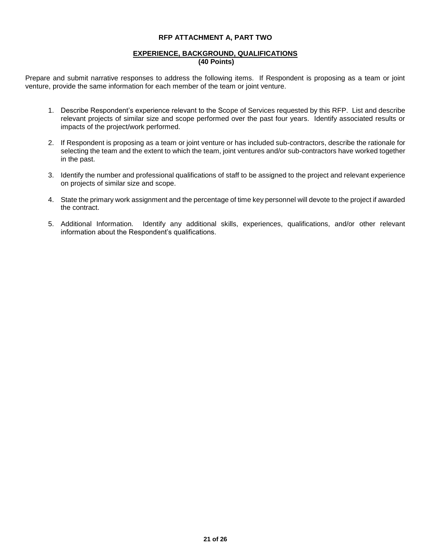#### **RFP ATTACHMENT A, PART TWO**

#### **EXPERIENCE, BACKGROUND, QUALIFICATIONS (40 Points)**

Prepare and submit narrative responses to address the following items. If Respondent is proposing as a team or joint venture, provide the same information for each member of the team or joint venture.

- 1. Describe Respondent's experience relevant to the Scope of Services requested by this RFP. List and describe relevant projects of similar size and scope performed over the past four years. Identify associated results or impacts of the project/work performed.
- 2. If Respondent is proposing as a team or joint venture or has included sub-contractors, describe the rationale for selecting the team and the extent to which the team, joint ventures and/or sub-contractors have worked together in the past.
- 3. Identify the number and professional qualifications of staff to be assigned to the project and relevant experience on projects of similar size and scope.
- 4. State the primary work assignment and the percentage of time key personnel will devote to the project if awarded the contract.
- 5. Additional Information. Identify any additional skills, experiences, qualifications, and/or other relevant information about the Respondent's qualifications.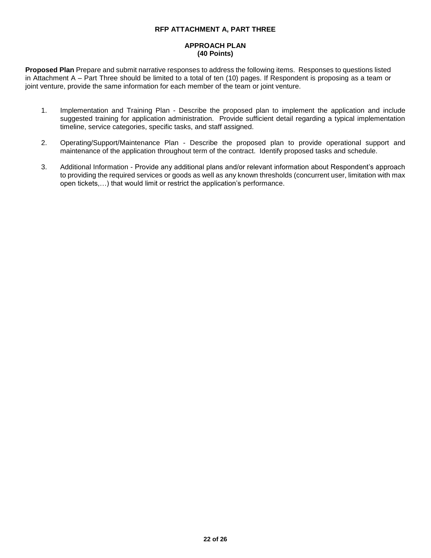#### **RFP ATTACHMENT A, PART THREE**

#### **APPROACH PLAN (40 Points)**

**Proposed Plan** Prepare and submit narrative responses to address the following items. Responses to questions listed in Attachment A – Part Three should be limited to a total of ten (10) pages. If Respondent is proposing as a team or joint venture, provide the same information for each member of the team or joint venture.

- 1. Implementation and Training Plan Describe the proposed plan to implement the application and include suggested training for application administration. Provide sufficient detail regarding a typical implementation timeline, service categories, specific tasks, and staff assigned.
- 2. Operating/Support/Maintenance Plan Describe the proposed plan to provide operational support and maintenance of the application throughout term of the contract. Identify proposed tasks and schedule.
- 3. Additional Information Provide any additional plans and/or relevant information about Respondent's approach to providing the required services or goods as well as any known thresholds (concurrent user, limitation with max open tickets,…) that would limit or restrict the application's performance.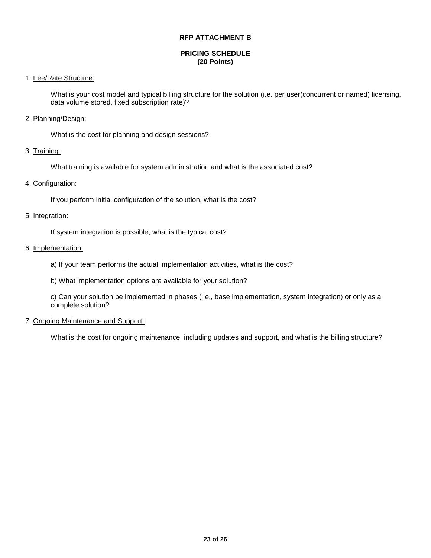#### **RFP ATTACHMENT B**

#### **PRICING SCHEDULE (20 Points)**

## 1. Fee/Rate Structure:

What is your cost model and typical billing structure for the solution (i.e. per user(concurrent or named) licensing, data volume stored, fixed subscription rate)?

#### 2. Planning/Design:

What is the cost for planning and design sessions?

## 3. Training:

What training is available for system administration and what is the associated cost?

## 4. Configuration:

If you perform initial configuration of the solution, what is the cost?

## 5. Integration:

If system integration is possible, what is the typical cost?

## 6. Implementation:

- a) If your team performs the actual implementation activities, what is the cost?
- b) What implementation options are available for your solution?

c) Can your solution be implemented in phases (i.e., base implementation, system integration) or only as a complete solution?

#### 7. Ongoing Maintenance and Support:

What is the cost for ongoing maintenance, including updates and support, and what is the billing structure?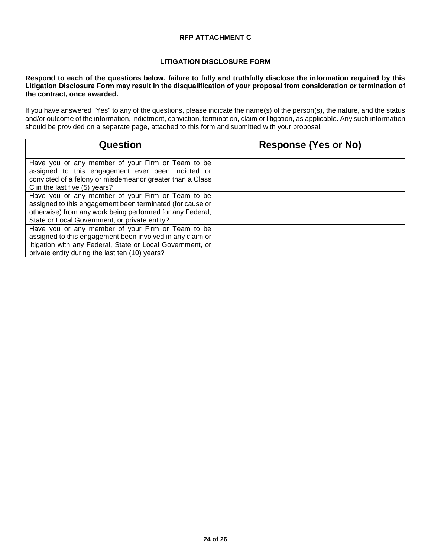## **RFP ATTACHMENT C**

## **LITIGATION DISCLOSURE FORM**

**Respond to each of the questions below, failure to fully and truthfully disclose the information required by this Litigation Disclosure Form may result in the disqualification of your proposal from consideration or termination of the contract, once awarded.**

If you have answered "Yes" to any of the questions, please indicate the name(s) of the person(s), the nature, and the status and/or outcome of the information, indictment, conviction, termination, claim or litigation, as applicable. Any such information should be provided on a separate page, attached to this form and submitted with your proposal.

| Question                                                                                                                                                                                                                       | <b>Response (Yes or No)</b> |
|--------------------------------------------------------------------------------------------------------------------------------------------------------------------------------------------------------------------------------|-----------------------------|
| Have you or any member of your Firm or Team to be<br>assigned to this engagement ever been indicted or<br>convicted of a felony or misdemeanor greater than a Class<br>C in the last five (5) years?                           |                             |
| Have you or any member of your Firm or Team to be<br>assigned to this engagement been terminated (for cause or<br>otherwise) from any work being performed for any Federal,<br>State or Local Government, or private entity?   |                             |
| Have you or any member of your Firm or Team to be<br>assigned to this engagement been involved in any claim or<br>litigation with any Federal, State or Local Government, or<br>private entity during the last ten (10) years? |                             |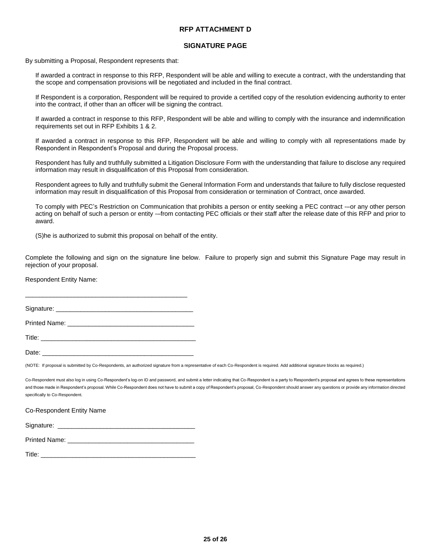#### **RFP ATTACHMENT D**

#### **SIGNATURE PAGE**

By submitting a Proposal, Respondent represents that:

If awarded a contract in response to this RFP, Respondent will be able and willing to execute a contract, with the understanding that the scope and compensation provisions will be negotiated and included in the final contract.

If Respondent is a corporation, Respondent will be required to provide a certified copy of the resolution evidencing authority to enter into the contract, if other than an officer will be signing the contract.

If awarded a contract in response to this RFP, Respondent will be able and willing to comply with the insurance and indemnification requirements set out in RFP Exhibits 1 & 2.

If awarded a contract in response to this RFP, Respondent will be able and willing to comply with all representations made by Respondent in Respondent's Proposal and during the Proposal process.

Respondent has fully and truthfully submitted a Litigation Disclosure Form with the understanding that failure to disclose any required information may result in disqualification of this Proposal from consideration.

Respondent agrees to fully and truthfully submit the General Information Form and understands that failure to fully disclose requested information may result in disqualification of this Proposal from consideration or termination of Contract, once awarded.

To comply with PEC's Restriction on Communication that prohibits a person or entity seeking a PEC contract -–or any other person acting on behalf of such a person or entity -–from contacting PEC officials or their staff after the release date of this RFP and prior to award.

(S)he is authorized to submit this proposal on behalf of the entity.

Complete the following and sign on the signature line below. Failure to properly sign and submit this Signature Page may result in rejection of your proposal.

Respondent Entity Name:

Signature: \_\_\_\_\_\_\_\_\_\_\_\_\_\_\_\_\_\_\_\_\_\_\_\_\_\_\_\_\_\_\_\_\_\_\_\_\_\_\_

\_\_\_\_\_\_\_\_\_\_\_\_\_\_\_\_\_\_\_\_\_\_\_\_\_\_\_\_\_\_\_\_\_\_\_\_\_\_\_\_\_\_\_\_\_\_

Printed Name: **Example 20** Name: **All 2008** 

 $\blacksquare$  Title:

Date: <u>\_\_\_\_\_\_\_\_\_\_\_\_\_\_</u>

(NOTE: If proposal is submitted by Co-Respondents, an authorized signature from a representative of each Co-Respondent is required. Add additional signature blocks as required.)

Co-Respondent must also log in using Co-Respondent's log-on ID and password, and submit a letter indicating that Co-Respondent is a party to Respondent's proposal and agrees to these representations and those made in Respondent's proposal. While Co-Respondent does not have to submit a copy of Respondent's proposal, Co-Respondent should answer any questions or provide any information directed specifically to Co-Respondent.

Co-Respondent Entity Name

Signature:

| <b>Printed Name:</b> |  |
|----------------------|--|
|                      |  |

| Title: |
|--------|
|--------|